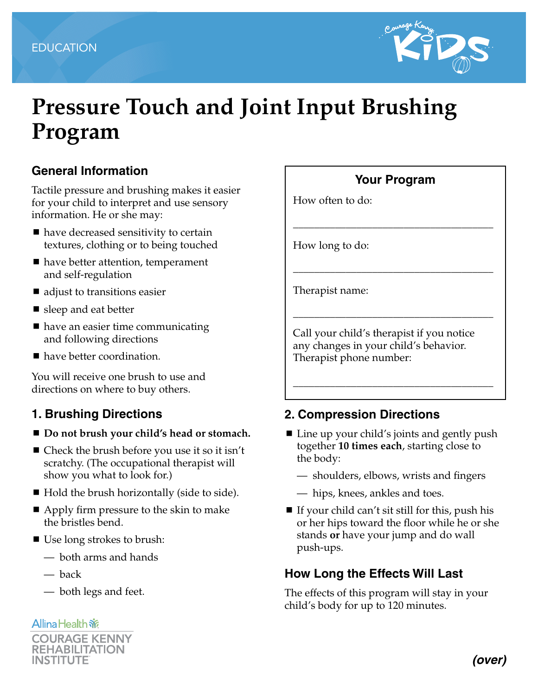

# **Pressure Touch and Joint Input Brushing Program**

## **General Information**

Tactile pressure and brushing makes it easier for your child to interpret and use sensory information. He or she may:

- have decreased sensitivity to certain textures, clothing or to being touched
- have better attention, temperament and self-regulation
- adjust to transitions easier
- sleep and eat better
- $\blacksquare$  have an easier time communicating and following directions
- have better coordination.

You will receive one brush to use and directions on where to buy others.

### **1. Brushing Directions**

- Do not brush your child's head or stomach.
- Check the brush before you use it so it isn't scratchy. (The occupational therapist will show you what to look for.)
- Hold the brush horizontally (side to side).
- Apply firm pressure to the skin to make the bristles bend.
- Use long strokes to brush:
	- both arms and hands
	- back
	- both legs and feet.

#### **Allina Health 帝**



# **Your Program**

\_\_\_\_\_\_\_\_\_\_\_\_\_\_\_\_\_\_\_\_\_\_\_\_\_\_\_\_\_\_\_\_\_\_\_\_\_\_

\_\_\_\_\_\_\_\_\_\_\_\_\_\_\_\_\_\_\_\_\_\_\_\_\_\_\_\_\_\_\_\_\_\_\_\_\_\_

\_\_\_\_\_\_\_\_\_\_\_\_\_\_\_\_\_\_\_\_\_\_\_\_\_\_\_\_\_\_\_\_\_\_\_\_\_\_

How often to do:

How long to do:

Therapist name:

Call your child's therapist if you notice any changes in your child's behavior. Therapist phone number:

### **2. Compression Directions**

■ Line up your child's joints and gently push together **10 times each**, starting close to the body:

\_\_\_\_\_\_\_\_\_\_\_\_\_\_\_\_\_\_\_\_\_\_\_\_\_\_\_\_\_\_\_\_\_\_\_\_\_\_

- shoulders, elbows, wrists and fingers
- hips, knees, ankles and toes.
- If your child can't sit still for this, push his or her hips toward the floor while he or she stands **or** have your jump and do wall push-ups.

# **How Long the Effects Will Last**

The effects of this program will stay in your child's body for up to 120 minutes.

*(over)*